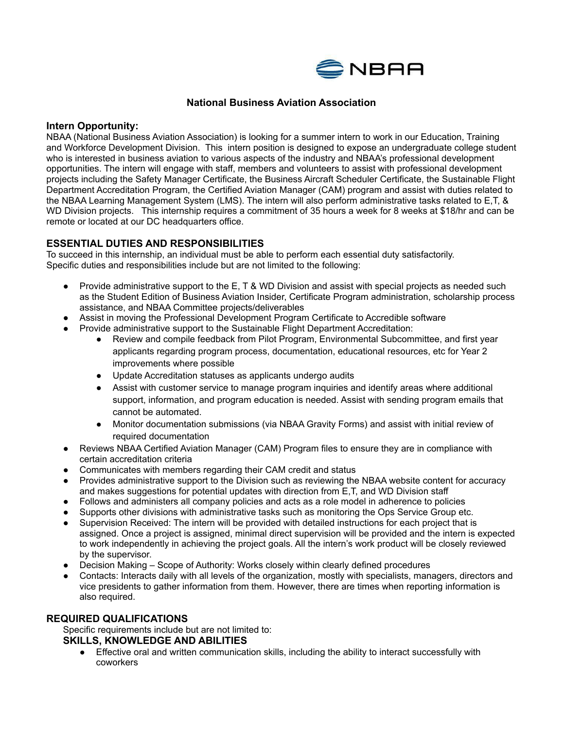

## **National Business Aviation Association**

#### **Intern Opportunity:**

NBAA (National Business Aviation Association) is looking for a summer intern to work in our Education, Training and Workforce Development Division. This intern position is designed to expose an undergraduate college student who is interested in business aviation to various aspects of the industry and NBAA's professional development opportunities. The intern will engage with staff, members and volunteers to assist with professional development projects including the Safety Manager Certificate, the Business Aircraft Scheduler Certificate, the Sustainable Flight Department Accreditation Program, the Certified Aviation Manager (CAM) program and assist with duties related to the NBAA Learning Management System (LMS). The intern will also perform administrative tasks related to E,T, & WD Division projects. This internship requires a commitment of 35 hours a week for 8 weeks at \$18/hr and can be remote or located at our DC headquarters office.

### **ESSENTIAL DUTIES AND RESPONSIBILITIES**

To succeed in this internship, an individual must be able to perform each essential duty satisfactorily. Specific duties and responsibilities include but are not limited to the following:

- Provide administrative support to the E, T & WD Division and assist with special projects as needed such as the Student Edition of Business Aviation Insider, Certificate Program administration, scholarship process assistance, and NBAA Committee projects/deliverables
- Assist in moving the Professional Development Program Certificate to Accredible software
- Provide administrative support to the Sustainable Flight Department Accreditation:
	- Review and compile feedback from Pilot Program, Environmental Subcommittee, and first year applicants regarding program process, documentation, educational resources, etc for Year 2 improvements where possible
	- Update Accreditation statuses as applicants undergo audits
	- Assist with customer service to manage program inquiries and identify areas where additional support, information, and program education is needed. Assist with sending program emails that cannot be automated.
	- Monitor documentation submissions (via NBAA Gravity Forms) and assist with initial review of required documentation
- Reviews NBAA Certified Aviation Manager (CAM) Program files to ensure they are in compliance with certain accreditation criteria
- Communicates with members regarding their CAM credit and status
- Provides administrative support to the Division such as reviewing the NBAA website content for accuracy and makes suggestions for potential updates with direction from E,T, and WD Division staff
- Follows and administers all company policies and acts as a role model in adherence to policies
- Supports other divisions with administrative tasks such as monitoring the Ops Service Group etc.
- Supervision Received: The intern will be provided with detailed instructions for each project that is assigned. Once a project is assigned, minimal direct supervision will be provided and the intern is expected to work independently in achieving the project goals. All the intern's work product will be closely reviewed by the supervisor.
- Decision Making Scope of Authority: Works closely within clearly defined procedures
- Contacts: Interacts daily with all levels of the organization, mostly with specialists, managers, directors and vice presidents to gather information from them. However, there are times when reporting information is also required.

### **REQUIRED QUALIFICATIONS**

Specific requirements include but are not limited to:

# **SKILLS, KNOWLEDGE AND ABILITIES**

● Effective oral and written communication skills, including the ability to interact successfully with coworkers